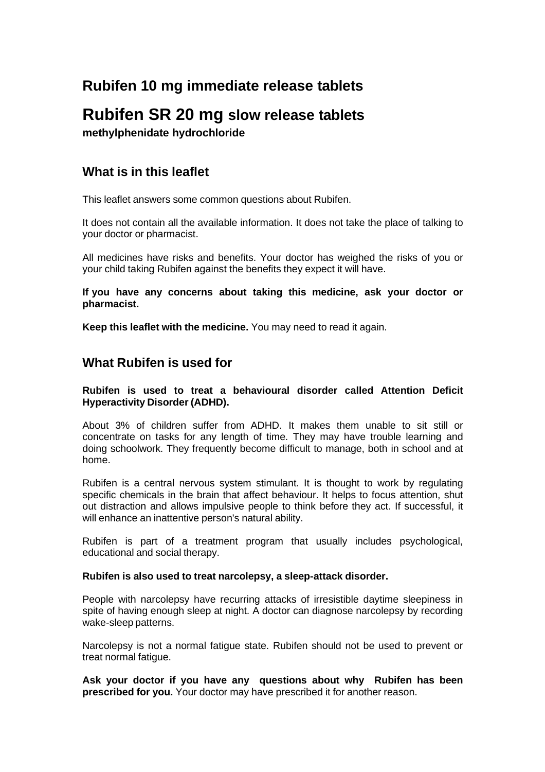# **Rubifen 10 mg immediate release tablets**

# **Rubifen SR 20 mg slow release tablets**

**methylphenidate hydrochloride**

# **What is in this leaflet**

This leaflet answers some common questions about Rubifen.

It does not contain all the available information. It does not take the place of talking to your doctor or pharmacist.

All medicines have risks and benefits. Your doctor has weighed the risks of you or your child taking Rubifen against the benefits they expect it will have.

**If you have any concerns about taking this medicine, ask your doctor or pharmacist.**

**Keep this leaflet with the medicine.** You may need to read it again.

# **What Rubifen is used for**

## **Rubifen is used to treat a behavioural disorder called Attention Deficit Hyperactivity Disorder (ADHD).**

About 3% of children suffer from ADHD. It makes them unable to sit still or concentrate on tasks for any length of time. They may have trouble learning and doing schoolwork. They frequently become difficult to manage, both in school and at home.

Rubifen is a central nervous system stimulant. It is thought to work by regulating specific chemicals in the brain that affect behaviour. It helps to focus attention, shut out distraction and allows impulsive people to think before they act. If successful, it will enhance an inattentive person's natural ability.

Rubifen is part of a treatment program that usually includes psychological, educational and social therapy.

# **Rubifen is also used to treat narcolepsy, a sleep-attack disorder.**

People with narcolepsy have recurring attacks of irresistible daytime sleepiness in spite of having enough sleep at night. A doctor can diagnose narcolepsy by recording wake-sleep patterns.

Narcolepsy is not a normal fatigue state. Rubifen should not be used to prevent or treat normal fatigue.

**Ask your doctor if you have any questions about why Rubifen has been prescribed for you.** Your doctor may have prescribed it for another reason.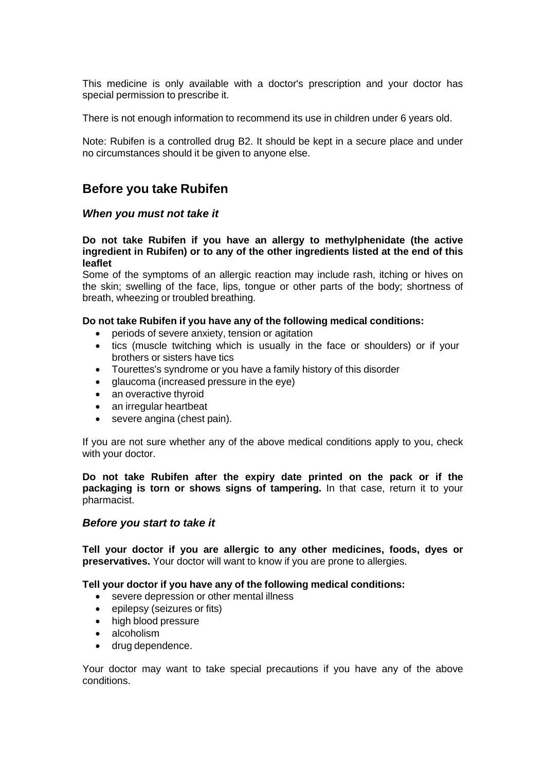This medicine is only available with a doctor's prescription and your doctor has special permission to prescribe it.

There is not enough information to recommend its use in children under 6 years old.

Note: Rubifen is a controlled drug B2. It should be kept in a secure place and under no circumstances should it be given to anyone else.

# **Before you take Rubifen**

# *When you must not take it*

#### **Do not take Rubifen if you have an allergy to methylphenidate (the active ingredient in Rubifen) or to any of the other ingredients listed at the end of this leaflet**

Some of the symptoms of an allergic reaction may include rash, itching or hives on the skin; swelling of the face, lips, tongue or other parts of the body; shortness of breath, wheezing or troubled breathing.

#### **Do not take Rubifen if you have any of the following medical conditions:**

- periods of severe anxiety, tension or agitation
- tics (muscle twitching which is usually in the face or shoulders) or if your brothers or sisters have tics
- Tourettes's syndrome or you have a family history of this disorder
- glaucoma (increased pressure in the eye)
- an overactive thyroid
- an irregular heartbeat
- severe angina (chest pain).

If you are not sure whether any of the above medical conditions apply to you, check with your doctor.

**Do not take Rubifen after the expiry date printed on the pack or if the packaging is torn or shows signs of tampering.** In that case, return it to your pharmacist.

# *Before you start to take it*

**Tell your doctor if you are allergic to any other medicines, foods, dyes or preservatives.** Your doctor will want to know if you are prone to allergies.

# **Tell your doctor if you have any of the following medical conditions:**

- severe depression or other mental illness
- epilepsy (seizures or fits)
- high blood pressure
- alcoholism
- drug dependence.

Your doctor may want to take special precautions if you have any of the above conditions.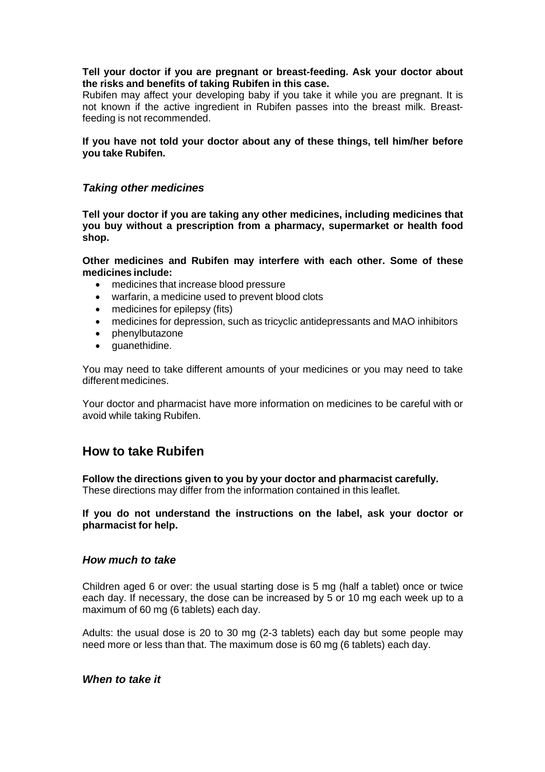#### **Tell your doctor if you are pregnant or breast-feeding. Ask your doctor about the risks and benefits of taking Rubifen in this case.**

Rubifen may affect your developing baby if you take it while you are pregnant. It is not known if the active ingredient in Rubifen passes into the breast milk. Breastfeeding is not recommended.

#### **If you have not told your doctor about any of these things, tell him/her before you take Rubifen.**

# *Taking other medicines*

**Tell your doctor if you are taking any other medicines, including medicines that you buy without a prescription from a pharmacy, supermarket or health food shop.**

**Other medicines and Rubifen may interfere with each other. Some of these medicines include:**

- medicines that increase blood pressure
- warfarin, a medicine used to prevent blood clots
- medicines for epilepsy (fits)
- medicines for depression, such as tricyclic antidepressants and MAO inhibitors
- phenylbutazone
- guanethidine.

You may need to take different amounts of your medicines or you may need to take different medicines.

Your doctor and pharmacist have more information on medicines to be careful with or avoid while taking Rubifen.

# **How to take Rubifen**

**Follow the directions given to you by your doctor and pharmacist carefully.** These directions may differ from the information contained in this leaflet.

**If you do not understand the instructions on the label, ask your doctor or pharmacist for help.**

# *How much to take*

Children aged 6 or over: the usual starting dose is 5 mg (half a tablet) once or twice each day. If necessary, the dose can be increased by 5 or 10 mg each week up to a maximum of 60 mg (6 tablets) each day.

Adults: the usual dose is 20 to 30 mg (2-3 tablets) each day but some people may need more or less than that. The maximum dose is 60 mg (6 tablets) each day.

# *When to take it*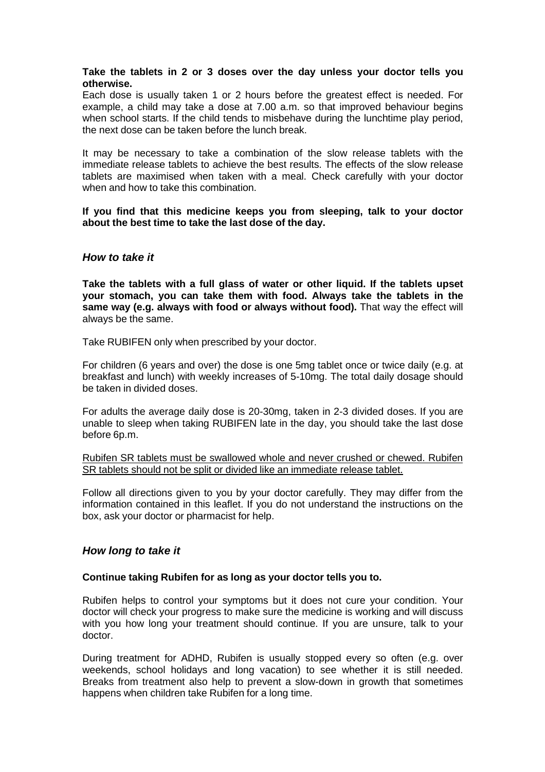#### **Take the tablets in 2 or 3 doses over the day unless your doctor tells you otherwise.**

Each dose is usually taken 1 or 2 hours before the greatest effect is needed. For example, a child may take a dose at 7.00 a.m. so that improved behaviour begins when school starts. If the child tends to misbehave during the lunchtime play period, the next dose can be taken before the lunch break.

It may be necessary to take a combination of the slow release tablets with the immediate release tablets to achieve the best results. The effects of the slow release tablets are maximised when taken with a meal. Check carefully with your doctor when and how to take this combination.

**If you find that this medicine keeps you from sleeping, talk to your doctor about the best time to take the last dose of the day.**

# *How to take it*

**Take the tablets with a full glass of water or other liquid. If the tablets upset your stomach, you can take them with food. Always take the tablets in the same way (e.g. always with food or always without food).** That way the effect will always be the same.

Take RUBIFEN only when prescribed by your doctor.

For children (6 years and over) the dose is one 5mg tablet once or twice daily (e.g. at breakfast and lunch) with weekly increases of 5-10mg. The total daily dosage should be taken in divided doses.

For adults the average daily dose is 20-30mg, taken in 2-3 divided doses. If you are unable to sleep when taking RUBIFEN late in the day, you should take the last dose before 6p.m.

Rubifen SR tablets must be swallowed whole and never crushed or chewed. Rubifen SR tablets should not be split or divided like an immediate release tablet.

Follow all directions given to you by your doctor carefully. They may differ from the information contained in this leaflet. If you do not understand the instructions on the box, ask your doctor or pharmacist for help.

# *How long to take it*

#### **Continue taking Rubifen for as long as your doctor tells you to.**

Rubifen helps to control your symptoms but it does not cure your condition. Your doctor will check your progress to make sure the medicine is working and will discuss with you how long your treatment should continue. If you are unsure, talk to your doctor.

During treatment for ADHD, Rubifen is usually stopped every so often (e.g. over weekends, school holidays and long vacation) to see whether it is still needed. Breaks from treatment also help to prevent a slow-down in growth that sometimes happens when children take Rubifen for a long time.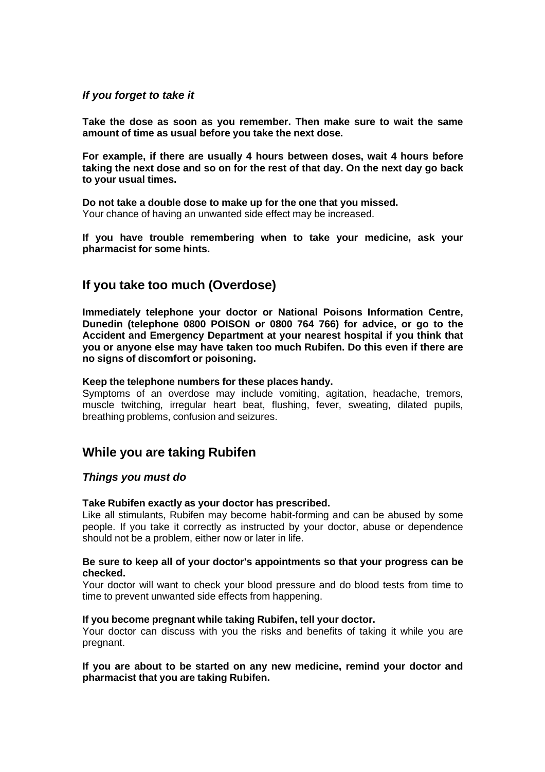### *If you forget to take it*

**Take the dose as soon as you remember. Then make sure to wait the same amount of time as usual before you take the next dose.**

**For example, if there are usually 4 hours between doses, wait 4 hours before taking the next dose and so on for the rest of that day. On the next day go back to your usual times.**

**Do not take a double dose to make up for the one that you missed.** Your chance of having an unwanted side effect may be increased.

**If you have trouble remembering when to take your medicine, ask your pharmacist for some hints.**

# **If you take too much (Overdose)**

**Immediately telephone your doctor or National Poisons Information Centre, Dunedin (telephone 0800 POISON or 0800 764 766) for advice, or go to the Accident and Emergency Department at your nearest hospital if you think that you or anyone else may have taken too much Rubifen. Do this even if there are no signs of discomfort or poisoning.**

#### **Keep the telephone numbers for these places handy.**

Symptoms of an overdose may include vomiting, agitation, headache, tremors, muscle twitching, irregular heart beat, flushing, fever, sweating, dilated pupils, breathing problems, confusion and seizures.

# **While you are taking Rubifen**

# *Things you must do*

#### **Take Rubifen exactly as your doctor has prescribed.**

Like all stimulants, Rubifen may become habit-forming and can be abused by some people. If you take it correctly as instructed by your doctor, abuse or dependence should not be a problem, either now or later in life.

#### **Be sure to keep all of your doctor's appointments so that your progress can be checked.**

Your doctor will want to check your blood pressure and do blood tests from time to time to prevent unwanted side effects from happening.

#### **If you become pregnant while taking Rubifen, tell your doctor.**

Your doctor can discuss with you the risks and benefits of taking it while you are pregnant.

#### **If you are about to be started on any new medicine, remind your doctor and pharmacist that you are taking Rubifen.**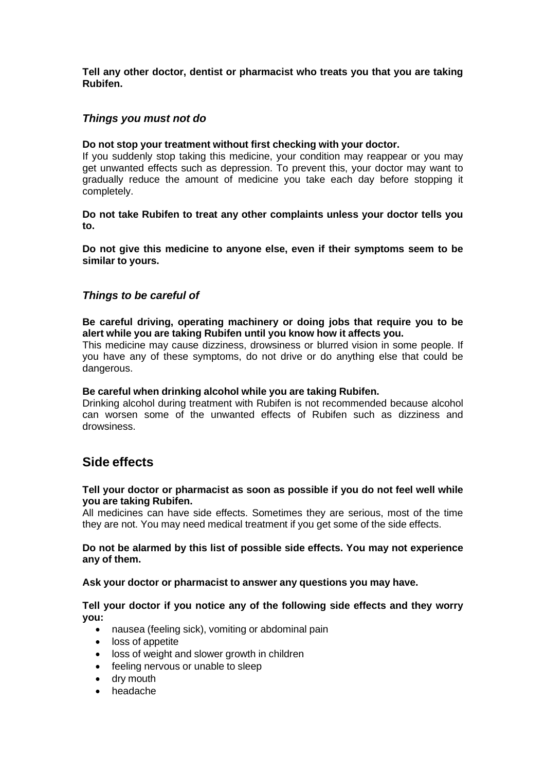**Tell any other doctor, dentist or pharmacist who treats you that you are taking Rubifen.**

# *Things you must not do*

#### **Do not stop your treatment without first checking with your doctor.**

If you suddenly stop taking this medicine, your condition may reappear or you may get unwanted effects such as depression. To prevent this, your doctor may want to gradually reduce the amount of medicine you take each day before stopping it completely.

**Do not take Rubifen to treat any other complaints unless your doctor tells you to.**

**Do not give this medicine to anyone else, even if their symptoms seem to be similar to yours.**

# *Things to be careful of*

**Be careful driving, operating machinery or doing jobs that require you to be alert while you are taking Rubifen until you know how it affects you.**

This medicine may cause dizziness, drowsiness or blurred vision in some people. If you have any of these symptoms, do not drive or do anything else that could be dangerous.

#### **Be careful when drinking alcohol while you are taking Rubifen.**

Drinking alcohol during treatment with Rubifen is not recommended because alcohol can worsen some of the unwanted effects of Rubifen such as dizziness and drowsiness.

# **Side effects**

#### **Tell your doctor or pharmacist as soon as possible if you do not feel well while you are taking Rubifen.**

All medicines can have side effects. Sometimes they are serious, most of the time they are not. You may need medical treatment if you get some of the side effects.

#### **Do not be alarmed by this list of possible side effects. You may not experience any of them.**

#### **Ask your doctor or pharmacist to answer any questions you may have.**

#### **Tell your doctor if you notice any of the following side effects and they worry you:**

- nausea (feeling sick), vomiting or abdominal pain
- loss of appetite
- loss of weight and slower growth in children
- feeling nervous or unable to sleep
- dry mouth
- headache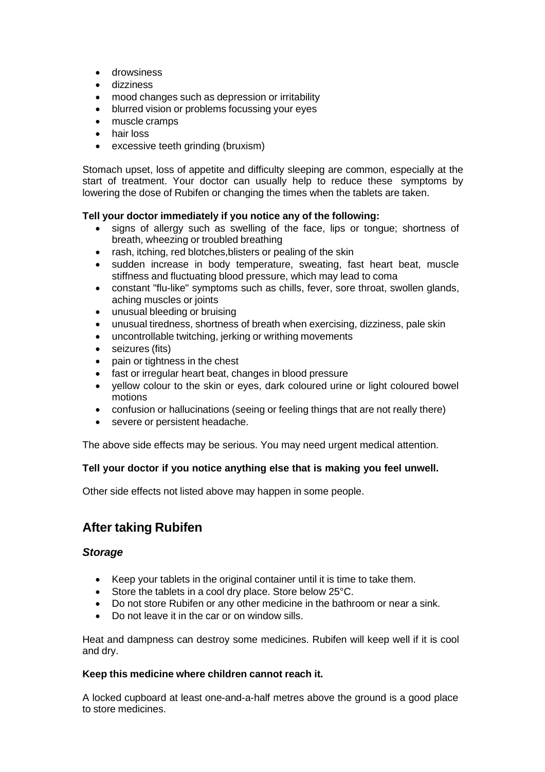- drowsiness
- dizziness
- mood changes such as depression or irritability
- blurred vision or problems focussing your eyes
- muscle cramps
- hair loss
- excessive teeth grinding (bruxism)

Stomach upset, loss of appetite and difficulty sleeping are common, especially at the start of treatment. Your doctor can usually help to reduce these symptoms by lowering the dose of Rubifen or changing the times when the tablets are taken.

# **Tell your doctor immediately if you notice any of the following:**

- signs of allergy such as swelling of the face, lips or tongue; shortness of breath, wheezing or troubled breathing
- rash, itching, red blotches, blisters or pealing of the skin
- sudden increase in body temperature, sweating, fast heart beat, muscle stiffness and fluctuating blood pressure, which may lead to coma
- constant "flu-like" symptoms such as chills, fever, sore throat, swollen glands, aching muscles or joints
- unusual bleeding or bruising
- unusual tiredness, shortness of breath when exercising, dizziness, pale skin
- uncontrollable twitching, jerking or writhing movements
- seizures (fits)
- pain or tightness in the chest
- fast or irregular heart beat, changes in blood pressure
- yellow colour to the skin or eyes, dark coloured urine or light coloured bowel motions
- confusion or hallucinations (seeing or feeling things that are not really there)
- severe or persistent headache.

The above side effects may be serious. You may need urgent medical attention.

# **Tell your doctor if you notice anything else that is making you feel unwell.**

Other side effects not listed above may happen in some people.

# **After taking Rubifen**

# *Storage*

- Keep your tablets in the original container until it is time to take them.
- Store the tablets in a cool dry place. Store below 25°C.
- Do not store Rubifen or any other medicine in the bathroom or near a sink.
- Do not leave it in the car or on window sills.

Heat and dampness can destroy some medicines. Rubifen will keep well if it is cool and dry.

# **Keep this medicine where children cannot reach it.**

A locked cupboard at least one-and-a-half metres above the ground is a good place to store medicines.